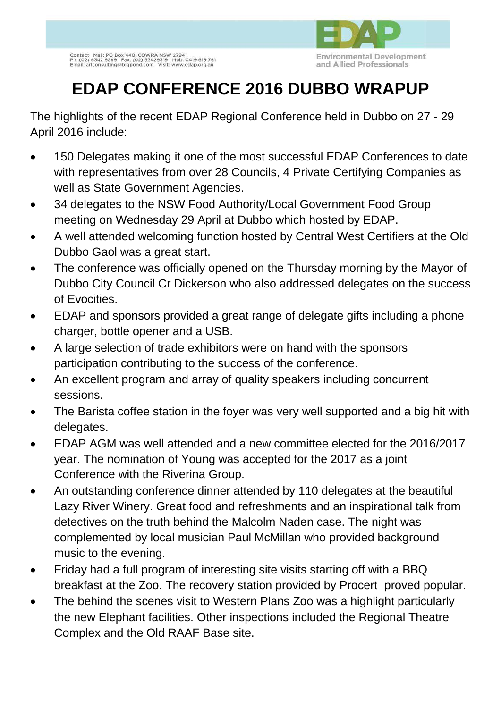

## **EDAP CONFERENCE 2016 DUBBO WRAPUP**

The highlights of the recent EDAP Regional Conference held in Dubbo on 27 - 29 April 2016 include:

- 150 Delegates making it one of the most successful EDAP Conferences to date with representatives from over 28 Councils, 4 Private Certifying Companies as well as State Government Agencies.
- 34 delegates to the NSW Food Authority/Local Government Food Group meeting on Wednesday 29 April at Dubbo which hosted by EDAP.
- A well attended welcoming function hosted by Central West Certifiers at the Old Dubbo Gaol was a great start.
- The conference was officially opened on the Thursday morning by the Mayor of Dubbo City Council Cr Dickerson who also addressed delegates on the success of Evocities.
- EDAP and sponsors provided a great range of delegate gifts including a phone charger, bottle opener and a USB.
- A large selection of trade exhibitors were on hand with the sponsors participation contributing to the success of the conference.
- An excellent program and array of quality speakers including concurrent sessions.
- The Barista coffee station in the foyer was very well supported and a big hit with delegates.
- EDAP AGM was well attended and a new committee elected for the 2016/2017 year. The nomination of Young was accepted for the 2017 as a joint Conference with the Riverina Group.
- An outstanding conference dinner attended by 110 delegates at the beautiful Lazy River Winery. Great food and refreshments and an inspirational talk from detectives on the truth behind the Malcolm Naden case. The night was complemented by local musician Paul McMillan who provided background music to the evening.
- Friday had a full program of interesting site visits starting off with a BBQ breakfast at the Zoo. The recovery station provided by Procert proved popular.
- The behind the scenes visit to Western Plans Zoo was a highlight particularly the new Elephant facilities. Other inspections included the Regional Theatre Complex and the Old RAAF Base site.